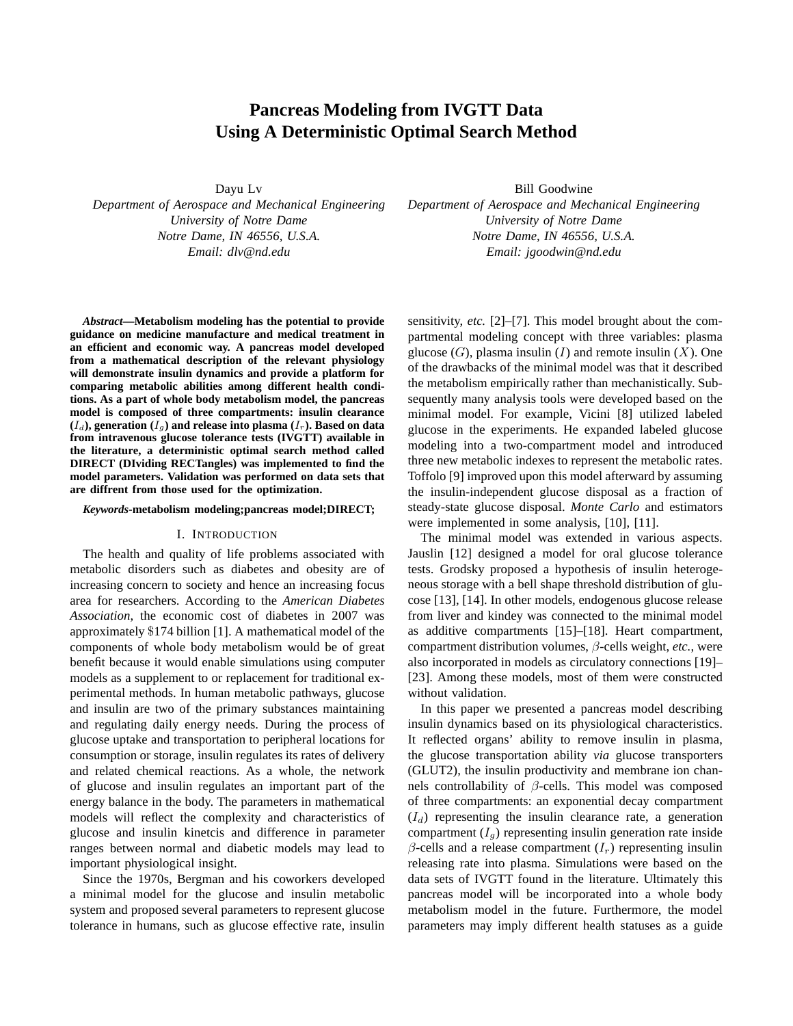# **Pancreas Modeling from IVGTT Data Using A Deterministic Optimal Search Method**

Dayu Lv

*Department of Aerospace and Mechanical Engineering University of Notre Dame Notre Dame, IN 46556, U.S.A. Email: dlv@nd.edu*

*Abstract***—Metabolism modeling has the potential to provide guidance on medicine manufacture and medical treatment in an efficient and economic way. A pancreas model developed from a mathematical description of the relevant physiology will demonstrate insulin dynamics and provide a platform for comparing metabolic abilities among different health conditions. As a part of whole body metabolism model, the pancreas model is composed of three compartments: insulin clearance**  $(I_d)$ , generation  $(I_g)$  and release into plasma  $(I_r)$ . Based on data **from intravenous glucose tolerance tests (IVGTT) available in the literature, a deterministic optimal search method called DIRECT (DIviding RECTangles) was implemented to find the model parameters. Validation was performed on data sets that are diffrent from those used for the optimization.**

## *Keywords***-metabolism modeling;pancreas model;DIRECT;**

# I. INTRODUCTION

The health and quality of life problems associated with metabolic disorders such as diabetes and obesity are of increasing concern to society and hence an increasing focus area for researchers. According to the *American Diabetes Association*, the economic cost of diabetes in 2007 was approximately \$174 billion [1]. A mathematical model of the components of whole body metabolism would be of great benefit because it would enable simulations using computer models as a supplement to or replacement for traditional experimental methods. In human metabolic pathways, glucose and insulin are two of the primary substances maintaining and regulating daily energy needs. During the process of glucose uptake and transportation to peripheral locations for consumption or storage, insulin regulates its rates of delivery and related chemical reactions. As a whole, the network of glucose and insulin regulates an important part of the energy balance in the body. The parameters in mathematical models will reflect the complexity and characteristics of glucose and insulin kinetcis and difference in parameter ranges between normal and diabetic models may lead to important physiological insight.

Since the 1970s, Bergman and his coworkers developed a minimal model for the glucose and insulin metabolic system and proposed several parameters to represent glucose tolerance in humans, such as glucose effective rate, insulin

Bill Goodwine *Department of Aerospace and Mechanical Engineering University of Notre Dame Notre Dame, IN 46556, U.S.A. Email: jgoodwin@nd.edu*

sensitivity, *etc.* [2]–[7]. This model brought about the compartmental modeling concept with three variables: plasma glucose  $(G)$ , plasma insulin  $(I)$  and remote insulin  $(X)$ . One of the drawbacks of the minimal model was that it described the metabolism empirically rather than mechanistically. Subsequently many analysis tools were developed based on the minimal model. For example, Vicini [8] utilized labeled glucose in the experiments. He expanded labeled glucose modeling into a two-compartment model and introduced three new metabolic indexes to represent the metabolic rates. Toffolo [9] improved upon this model afterward by assuming the insulin-independent glucose disposal as a fraction of steady-state glucose disposal. *Monte Carlo* and estimators were implemented in some analysis, [10], [11].

The minimal model was extended in various aspects. Jauslin [12] designed a model for oral glucose tolerance tests. Grodsky proposed a hypothesis of insulin heterogeneous storage with a bell shape threshold distribution of glucose [13], [14]. In other models, endogenous glucose release from liver and kindey was connected to the minimal model as additive compartments [15]–[18]. Heart compartment, compartment distribution volumes, β-cells weight, *etc.*, were also incorporated in models as circulatory connections [19]– [23]. Among these models, most of them were constructed without validation.

In this paper we presented a pancreas model describing insulin dynamics based on its physiological characteristics. It reflected organs' ability to remove insulin in plasma, the glucose transportation ability *via* glucose transporters (GLUT2), the insulin productivity and membrane ion channels controllability of β-cells. This model was composed of three compartments: an exponential decay compartment  $(I_d)$  representing the insulin clearance rate, a generation compartment  $(I_q)$  representing insulin generation rate inside  $\beta$ -cells and a release compartment  $(I_r)$  representing insulin releasing rate into plasma. Simulations were based on the data sets of IVGTT found in the literature. Ultimately this pancreas model will be incorporated into a whole body metabolism model in the future. Furthermore, the model parameters may imply different health statuses as a guide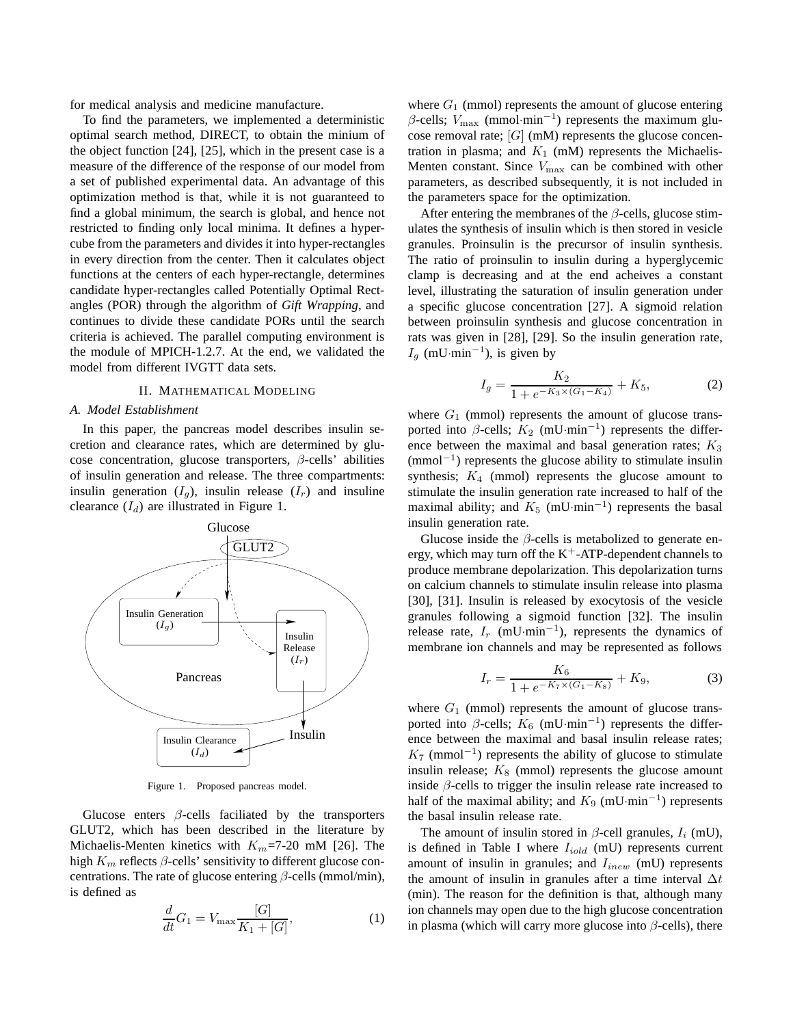for medical analysis and medicine manufacture.

To find the parameters, we implemented a deterministic optimal search method, DIRECT, to obtain the minium of the object function [24], [25], which in the present case is a measure of the difference of the response of our model from a set of published experimental data. An advantage of this optimization method is that, while it is not guaranteed to find a global minimum, the search is global, and hence not restricted to finding only local minima. It defines a hypercube from the parameters and divides it into hyper-rectangles in every direction from the center. Then it calculates object functions at the centers of each hyper-rectangle, determines candidate hyper-rectangles called Potentially Optimal Rectangles (POR) through the algorithm of *Gift Wrapping*, and continues to divide these candidate PORs until the search criteria is achieved. The parallel computing environment is the module of MPICH-1.2.7. At the end, we validated the model from different IVGTT data sets.

# II. MATHEMATICAL MODELING

#### *A. Model Establishment*

In this paper, the pancreas model describes insulin secretion and clearance rates, which are determined by glucose concentration, glucose transporters,  $\beta$ -cells' abilities of insulin generation and release. The three compartments: insulin generation  $(I_g)$ , insulin release  $(I_r)$  and insuline clearance  $(I_d)$  are illustrated in Figure 1.



Figure 1. Proposed pancreas model.

Glucose enters  $\beta$ -cells faciliated by the transporters GLUT2, which has been described in the literature by Michaelis-Menten kinetics with  $K_m$ =7-20 mM [26]. The high  $K_m$  reflects  $\beta$ -cells' sensitivity to different glucose concentrations. The rate of glucose entering  $\beta$ -cells (mmol/min), is defined as

$$
\frac{d}{dt}G_1 = V_{\text{max}} \frac{[G]}{K_1 + [G]},
$$
\n(1)

where  $G_1$  (mmol) represents the amount of glucose entering  $\beta$ -cells;  $V_{\text{max}}$  (mmol·min<sup>-1</sup>) represents the maximum glucose removal rate;  $[G]$  (mM) represents the glucose concentration in plasma; and  $K_1$  (mM) represents the Michaelis-Menten constant. Since  $V_{\text{max}}$  can be combined with other parameters, as described subsequently, it is not included in the parameters space for the optimization.

After entering the membranes of the  $\beta$ -cells, glucose stimulates the synthesis of insulin which is then stored in vesicle granules. Proinsulin is the precursor of insulin synthesis. The ratio of proinsulin to insulin during a hyperglycemic clamp is decreasing and at the end acheives a constant level, illustrating the saturation of insulin generation under a specific glucose concentration [27]. A sigmoid relation between proinsulin synthesis and glucose concentration in rats was given in [28], [29]. So the insulin generation rate,  $I_g$  (mU·min<sup>-1</sup>), is given by

$$
I_g = \frac{K_2}{1 + e^{-K_3 \times (G_1 - K_4)}} + K_5,\tag{2}
$$

where  $G_1$  (mmol) represents the amount of glucose transported into  $\beta$ -cells;  $K_2$  (mU·min<sup>-1</sup>) represents the difference between the maximal and basal generation rates;  $K_3$ (mmol−<sup>1</sup> ) represents the glucose ability to stimulate insulin synthesis;  $K_4$  (mmol) represents the glucose amount to stimulate the insulin generation rate increased to half of the maximal ability; and  $K_5$  (mU·min<sup>-1</sup>) represents the basal insulin generation rate.

Glucose inside the  $\beta$ -cells is metabolized to generate energy, which may turn off the  $K^+$ -ATP-dependent channels to produce membrane depolarization. This depolarization turns on calcium channels to stimulate insulin release into plasma [30], [31]. Insulin is released by exocytosis of the vesicle granules following a sigmoid function [32]. The insulin release rate,  $I_r$  (mU·min<sup>-1</sup>), represents the dynamics of membrane ion channels and may be represented as follows

$$
I_r = \frac{K_6}{1 + e^{-K_7 \times (G_1 - K_8)}} + K_9,\tag{3}
$$

where  $G_1$  (mmol) represents the amount of glucose transported into  $\beta$ -cells;  $K_6$  (mU·min<sup>-1</sup>) represents the difference between the maximal and basal insulin release rates;  $K_7$  (mmol<sup>-1</sup>) represents the ability of glucose to stimulate insulin release;  $K_8$  (mmol) represents the glucose amount inside  $\beta$ -cells to trigger the insulin release rate increased to half of the maximal ability; and  $K_9$  (mU·min<sup>-1</sup>) represents the basal insulin release rate.

The amount of insulin stored in  $\beta$ -cell granules,  $I_i$  (mU), is defined in Table I where  $I_{iold}$  (mU) represents current amount of insulin in granules; and  $I_{inew}$  (mU) represents the amount of insulin in granules after a time interval  $\Delta t$ (min). The reason for the definition is that, although many ion channels may open due to the high glucose concentration in plasma (which will carry more glucose into  $\beta$ -cells), there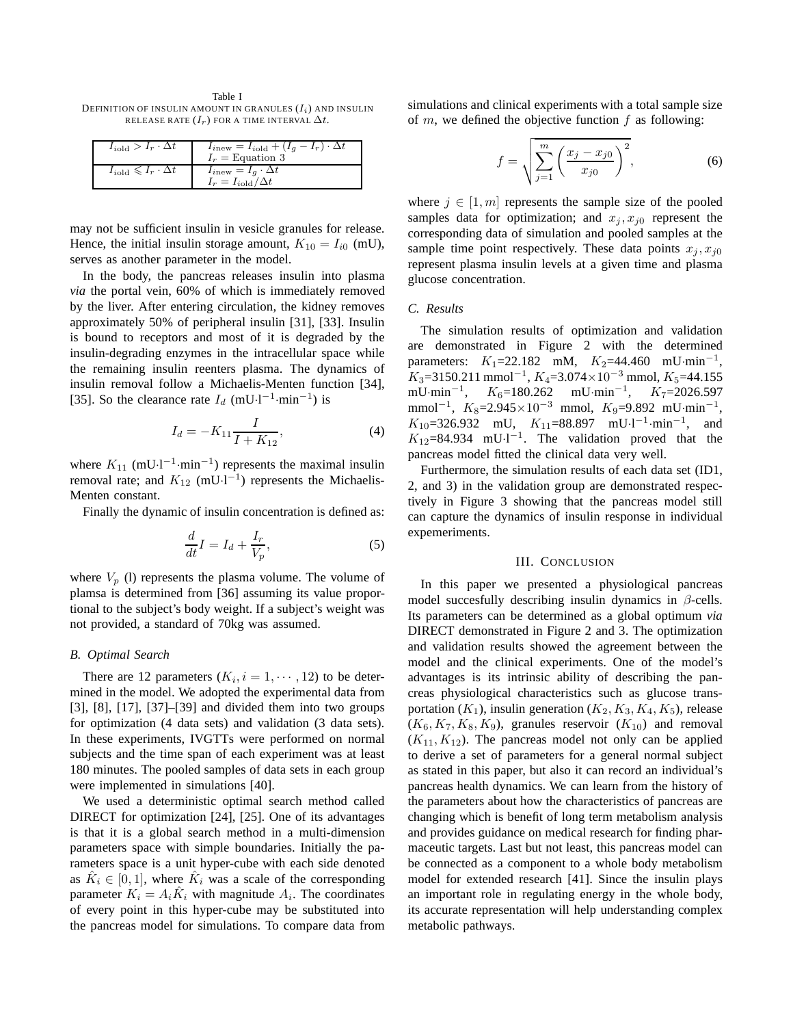Table I DEFINITION OF INSULIN AMOUNT IN GRANULES  $(I_i)$  and Insulin RELEASE RATE  $(I_r)$  FOR A TIME INTERVAL  $\Delta t$ .

| $I_{i \text{old}} > I_r \cdot \Delta t$         | $I_{inew} = I_{iold} + (I_g - I_r) \cdot \Delta t$<br>$I_r =$ Equation 3 |
|-------------------------------------------------|--------------------------------------------------------------------------|
| $I_{i \text{old}} \leqslant I_r \cdot \Delta t$ | $I_{inew} = I_g \cdot \Delta t$<br>$I_r = I_{i \text{old}}/\Delta t$     |

may not be sufficient insulin in vesicle granules for release. Hence, the initial insulin storage amount,  $K_{10} = I_{i0}$  (mU), serves as another parameter in the model.

In the body, the pancreas releases insulin into plasma *via* the portal vein, 60% of which is immediately removed by the liver. After entering circulation, the kidney removes approximately 50% of peripheral insulin [31], [33]. Insulin is bound to receptors and most of it is degraded by the insulin-degrading enzymes in the intracellular space while the remaining insulin reenters plasma. The dynamics of insulin removal follow a Michaelis-Menten function [34], [35]. So the clearance rate  $I_d$  (mU·l<sup>-1</sup>·min<sup>-1</sup>) is

$$
I_d = -K_{11} \frac{I}{I + K_{12}},\tag{4}
$$

where  $K_{11}$  (mU·l<sup>-1</sup>·min<sup>-1</sup>) represents the maximal insulin removal rate; and  $K_{12}$  (mU·l<sup>-1</sup>) represents the Michaelis-Menten constant.

Finally the dynamic of insulin concentration is defined as:

$$
\frac{d}{dt}I = I_d + \frac{I_r}{V_p},\tag{5}
$$

where  $V_p$  (1) represents the plasma volume. The volume of plamsa is determined from [36] assuming its value proportional to the subject's body weight. If a subject's weight was not provided, a standard of 70kg was assumed.

## *B. Optimal Search*

There are 12 parameters  $(K_i, i = 1, \dots, 12)$  to be determined in the model. We adopted the experimental data from [3], [8], [17], [37]–[39] and divided them into two groups for optimization (4 data sets) and validation (3 data sets). In these experiments, IVGTTs were performed on normal subjects and the time span of each experiment was at least 180 minutes. The pooled samples of data sets in each group were implemented in simulations [40].

We used a deterministic optimal search method called DIRECT for optimization [24], [25]. One of its advantages is that it is a global search method in a multi-dimension parameters space with simple boundaries. Initially the parameters space is a unit hyper-cube with each side denoted as  $\hat{K}_i \in [0, 1]$ , where  $\hat{K}_i$  was a scale of the corresponding parameter  $K_i = A_i \hat{K}_i$  with magnitude  $A_i$ . The coordinates of every point in this hyper-cube may be substituted into the pancreas model for simulations. To compare data from simulations and clinical experiments with a total sample size of  $m$ , we defined the objective function  $f$  as following:

$$
f = \sqrt{\sum_{j=1}^{m} \left( \frac{x_j - x_{j0}}{x_{j0}} \right)^2},
$$
 (6)

where  $j \in [1, m]$  represents the sample size of the pooled samples data for optimization; and  $x_i, x_{i0}$  represent the corresponding data of simulation and pooled samples at the sample time point respectively. These data points  $x_i, x_{i0}$ represent plasma insulin levels at a given time and plasma glucose concentration.

# *C. Results*

The simulation results of optimization and validation are demonstrated in Figure 2 with the determined parameters:  $K_1 = 22.182$  mM,  $K_2 = 44.460$  mU·min<sup>-1</sup>,  $K_3$ =3150.211 mmol<sup>-1</sup>,  $K_4$ =3.074×10<sup>-3</sup> mmol,  $K_5$ =44.155 mU·min<sup>-1</sup>, K<sub>6</sub>=180.262 mU·min<sup>-1</sup>, K<sub>7</sub>=2026.597 mmol<sup>-1</sup>,  $K_8$ =2.945×10<sup>-3</sup> mmol,  $K_9$ =9.892 mU·min<sup>-1</sup>,  $K_{10} = 326.932 \quad \text{mU}, \quad K_{11} = 88.897 \quad \text{mU·l}^{-1} \cdot \text{min}^{-1}, \quad \text{and}$  $K_{12}=84.934$  mU·l<sup>-1</sup>. The validation proved that the pancreas model fitted the clinical data very well.

Furthermore, the simulation results of each data set (ID1, 2, and 3) in the validation group are demonstrated respectively in Figure 3 showing that the pancreas model still can capture the dynamics of insulin response in individual expemeriments.

## III. CONCLUSION

In this paper we presented a physiological pancreas model succesfully describing insulin dynamics in  $\beta$ -cells. Its parameters can be determined as a global optimum *via* DIRECT demonstrated in Figure 2 and 3. The optimization and validation results showed the agreement between the model and the clinical experiments. One of the model's advantages is its intrinsic ability of describing the pancreas physiological characteristics such as glucose transportation  $(K_1)$ , insulin generation  $(K_2, K_3, K_4, K_5)$ , release  $(K_6, K_7, K_8, K_9)$ , granules reservoir  $(K_{10})$  and removal  $(K_{11}, K_{12})$ . The pancreas model not only can be applied to derive a set of parameters for a general normal subject as stated in this paper, but also it can record an individual's pancreas health dynamics. We can learn from the history of the parameters about how the characteristics of pancreas are changing which is benefit of long term metabolism analysis and provides guidance on medical research for finding pharmaceutic targets. Last but not least, this pancreas model can be connected as a component to a whole body metabolism model for extended research [41]. Since the insulin plays an important role in regulating energy in the whole body, its accurate representation will help understanding complex metabolic pathways.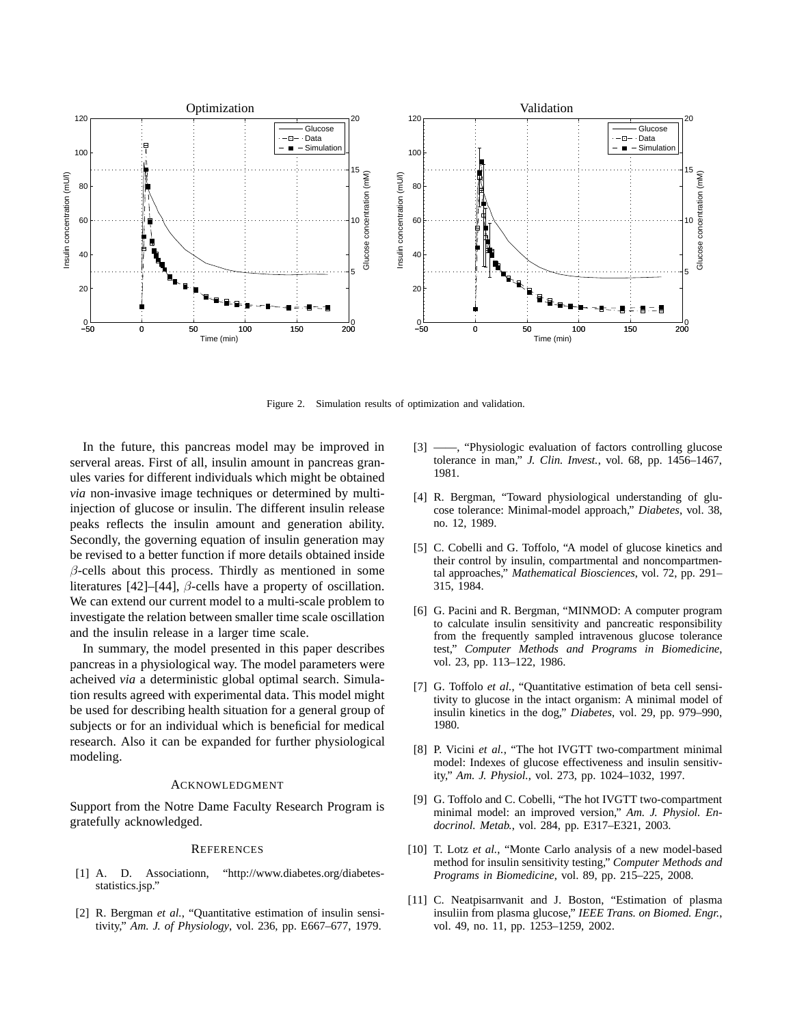

Figure 2. Simulation results of optimization and validation.

In the future, this pancreas model may be improved in serveral areas. First of all, insulin amount in pancreas granules varies for different individuals which might be obtained *via* non-invasive image techniques or determined by multiinjection of glucose or insulin. The different insulin release peaks reflects the insulin amount and generation ability. Secondly, the governing equation of insulin generation may be revised to a better function if more details obtained inside  $\beta$ -cells about this process. Thirdly as mentioned in some literatures [42]–[44],  $\beta$ -cells have a property of oscillation. We can extend our current model to a multi-scale problem to investigate the relation between smaller time scale oscillation and the insulin release in a larger time scale.

In summary, the model presented in this paper describes pancreas in a physiological way. The model parameters were acheived *via* a deterministic global optimal search. Simulation results agreed with experimental data. This model might be used for describing health situation for a general group of subjects or for an individual which is beneficial for medical research. Also it can be expanded for further physiological modeling.

## ACKNOWLEDGMENT

Support from the Notre Dame Faculty Research Program is gratefully acknowledged.

#### **REFERENCES**

- [1] A. D. Associationn, "http://www.diabetes.org/diabetesstatistics.jsp."
- [2] R. Bergman *et al.*, "Quantitative estimation of insulin sensitivity," *Am. J. of Physiology*, vol. 236, pp. E667–677, 1979.
- -, "Physiologic evaluation of factors controlling glucose tolerance in man," *J. Clin. Invest.*, vol. 68, pp. 1456–1467, 1981.
- [4] R. Bergman, "Toward physiological understanding of glucose tolerance: Minimal-model approach," *Diabetes*, vol. 38, no. 12, 1989.
- [5] C. Cobelli and G. Toffolo, "A model of glucose kinetics and their control by insulin, compartmental and noncompartmental approaches," *Mathematical Biosciences*, vol. 72, pp. 291– 315, 1984.
- [6] G. Pacini and R. Bergman, "MINMOD: A computer program to calculate insulin sensitivity and pancreatic responsibility from the frequently sampled intravenous glucose tolerance test," *Computer Methods and Programs in Biomedicine*, vol. 23, pp. 113–122, 1986.
- [7] G. Toffolo *et al.*, "Quantitative estimation of beta cell sensitivity to glucose in the intact organism: A minimal model of insulin kinetics in the dog," *Diabetes*, vol. 29, pp. 979–990, 1980.
- [8] P. Vicini *et al.*, "The hot IVGTT two-compartment minimal model: Indexes of glucose effectiveness and insulin sensitivity," *Am. J. Physiol.*, vol. 273, pp. 1024–1032, 1997.
- [9] G. Toffolo and C. Cobelli, "The hot IVGTT two-compartment minimal model: an improved version," *Am. J. Physiol. Endocrinol. Metab.*, vol. 284, pp. E317–E321, 2003.
- [10] T. Lotz *et al.*, "Monte Carlo analysis of a new model-based method for insulin sensitivity testing," *Computer Methods and Programs in Biomedicine*, vol. 89, pp. 215–225, 2008.
- [11] C. Neatpisarnvanit and J. Boston, "Estimation of plasma" insuliin from plasma glucose," *IEEE Trans. on Biomed. Engr.*, vol. 49, no. 11, pp. 1253–1259, 2002.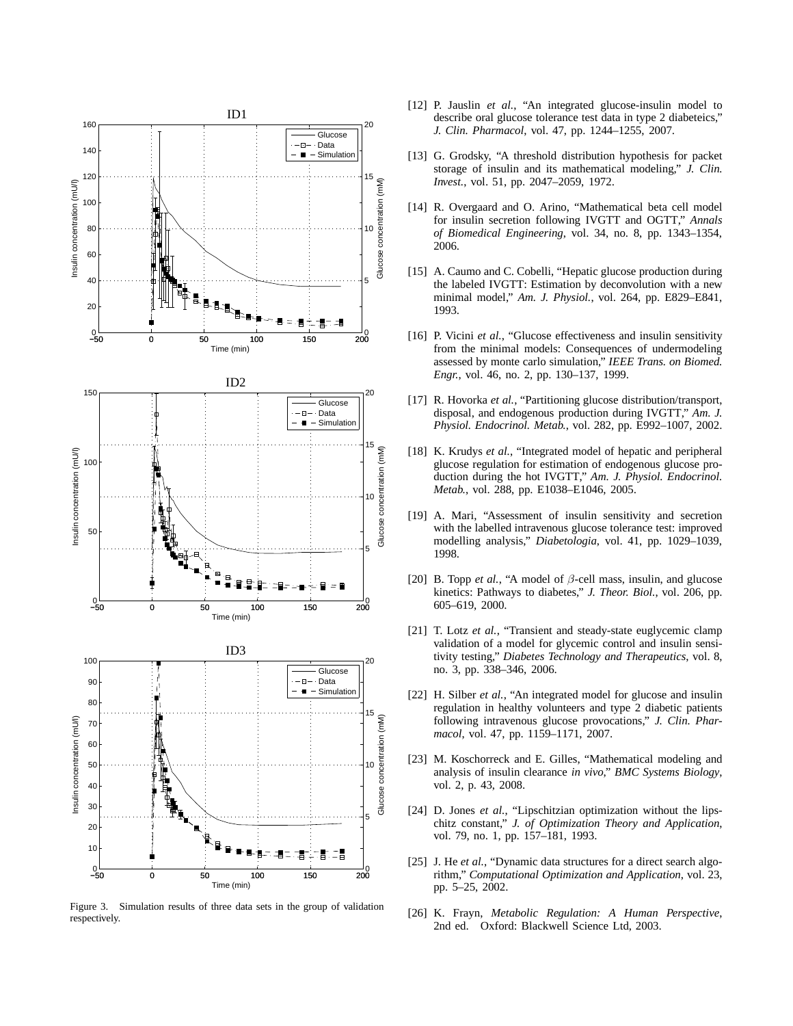

Figure 3. Simulation results of three data sets in the group of validation respectively.

- [12] P. Jauslin *et al.*, "An integrated glucose-insulin model to describe oral glucose tolerance test data in type 2 diabeteics," *J. Clin. Pharmacol*, vol. 47, pp. 1244–1255, 2007.
- [13] G. Grodsky, "A threshold distribution hypothesis for packet storage of insulin and its mathematical modeling," *J. Clin. Invest.*, vol. 51, pp. 2047–2059, 1972.
- [14] R. Overgaard and O. Arino, "Mathematical beta cell model for insulin secretion following IVGTT and OGTT," *Annals of Biomedical Engineering*, vol. 34, no. 8, pp. 1343–1354, 2006.
- [15] A. Caumo and C. Cobelli, "Hepatic glucose production during the labeled IVGTT: Estimation by deconvolution with a new minimal model," *Am. J. Physiol.*, vol. 264, pp. E829–E841, 1993.
- [16] P. Vicini *et al.*, "Glucose effectiveness and insulin sensitivity from the minimal models: Consequences of undermodeling assessed by monte carlo simulation," *IEEE Trans. on Biomed. Engr.*, vol. 46, no. 2, pp. 130–137, 1999.
- [17] R. Hovorka *et al.*, "Partitioning glucose distribution/transport, disposal, and endogenous production during IVGTT," *Am. J. Physiol. Endocrinol. Metab.*, vol. 282, pp. E992–1007, 2002.
- [18] K. Krudys *et al.*, "Integrated model of hepatic and peripheral glucose regulation for estimation of endogenous glucose production during the hot IVGTT," *Am. J. Physiol. Endocrinol. Metab.*, vol. 288, pp. E1038–E1046, 2005.
- [19] A. Mari, "Assessment of insulin sensitivity and secretion with the labelled intravenous glucose tolerance test: improved modelling analysis," *Diabetologia*, vol. 41, pp. 1029–1039, 1998.
- [20] B. Topp *et al.*, "A model of  $\beta$ -cell mass, insulin, and glucose kinetics: Pathways to diabetes," *J. Theor. Biol.*, vol. 206, pp. 605–619, 2000.
- [21] T. Lotz *et al.*, "Transient and steady-state euglycemic clamp validation of a model for glycemic control and insulin sensitivity testing," *Diabetes Technology and Therapeutics*, vol. 8, no. 3, pp. 338–346, 2006.
- [22] H. Silber *et al.*, "An integrated model for glucose and insulin regulation in healthy volunteers and type 2 diabetic patients following intravenous glucose provocations," *J. Clin. Pharmacol*, vol. 47, pp. 1159–1171, 2007.
- [23] M. Koschorreck and E. Gilles, "Mathematical modeling and analysis of insulin clearance *in vivo*," *BMC Systems Biology*, vol. 2, p. 43, 2008.
- [24] D. Jones *et al.*, "Lipschitzian optimization without the lipschitz constant," *J. of Optimization Theory and Application*, vol. 79, no. 1, pp. 157–181, 1993.
- [25] J. He *et al.*, "Dynamic data structures for a direct search algorithm," *Computational Optimization and Application*, vol. 23, pp. 5–25, 2002.
- [26] K. Frayn, *Metabolic Regulation: A Human Perspective*, 2nd ed. Oxford: Blackwell Science Ltd, 2003.